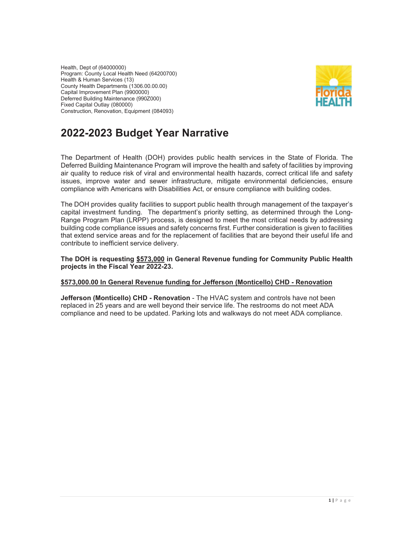Health, Dept of (64000000) Program: County Local Health Need (64200700) Health & Human Services (13) County Health Departments (1306.00.00.00) Capital Improvement Plan (9900000) Deferred Building Maintenance (9902000) Fixed Capital Outlay (080000) Construction, Renovation, Equipment (084093)



# **2022-2023 Budget Year Narrative**

The Department of Health (DOH) provides public health services in the State of Florida. The Deferred Building Maintenance Program will improve the health and safety of facilities by improving air quality to reduce risk of viral and environmental health hazards, correct critical life and safety issues, improve water and sewer infrastructure, mitigate environmental deficiencies, ensure compliance with Americans with Disabilities Act, or ensure compliance with building codes.

The DOH provides quality facilities to support public health through management of the taxpayer's capital investment funding. The department's priority setting, as determined through the Long-Range Program Plan (LRPP) process, is designed to meet the most critical needs by addressing building code compliance issues and safety concerns first. Further consideration is given to facilities that extend service areas and for the replacement of facilities that are beyond their useful life and contribute to inefficient service delivery.

#### **The DOH is requesting \$573,000 in General Revenue funding for Community Public Health projects in the Fiscal Year 2022-23.**

#### **\$573,000.00 In General Revenue funding for Jefferson (Monticello) CHD - Renovation**

**Jefferson (Monticello) CHD - Renovation** - The HVAC system and controls have not been replaced in 25 years and are well beyond their service life. The restrooms do not meet ADA compliance and need to be updated. Parking lots and walkways do not meet ADA compliance.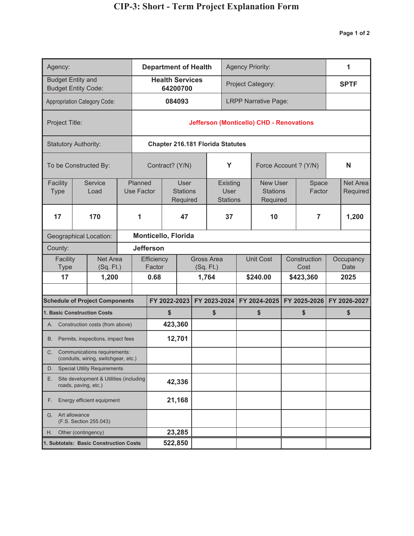| Agency:                          |                                                                      |                       |                            |                      |         |                                     | <b>Department of Health</b>    |                                         |    | <b>Agency Priority:</b>                         |                |                      |  | 1                    |
|----------------------------------|----------------------------------------------------------------------|-----------------------|----------------------------|----------------------|---------|-------------------------------------|--------------------------------|-----------------------------------------|----|-------------------------------------------------|----------------|----------------------|--|----------------------|
|                                  | <b>Budget Entity and</b><br><b>Budget Entity Code:</b>               |                       |                            |                      |         | <b>Health Services</b><br>64200700  |                                |                                         |    | Project Category:                               |                |                      |  | <b>SPTF</b>          |
|                                  | <b>Appropriation Category Code:</b>                                  |                       |                            |                      | 084093  |                                     |                                |                                         |    | <b>LRPP Narrative Page:</b>                     |                |                      |  |                      |
| Project Title:                   |                                                                      |                       |                            |                      |         |                                     |                                |                                         |    | <b>Jefferson (Monticello) CHD - Renovations</b> |                |                      |  |                      |
|                                  | <b>Statutory Authority:</b>                                          |                       |                            |                      |         |                                     |                                | <b>Chapter 216.181 Florida Statutes</b> |    |                                                 |                |                      |  |                      |
|                                  | To be Constructed By:                                                |                       |                            | Contract? (Y/N)      |         |                                     |                                | Y                                       |    | Force Account ? (Y/N)                           |                |                      |  | N                    |
| Facility<br><b>Type</b>          | Service<br>Load                                                      |                       | Planned<br>Use Factor      |                      |         | User<br><b>Stations</b><br>Required |                                | Existing<br>User<br><b>Stations</b>     |    | <b>New User</b><br><b>Stations</b><br>Required  |                | Space<br>Factor      |  | Net Area<br>Required |
| 17                               | 170                                                                  | 1                     |                            |                      | 47      |                                     | 37                             |                                         | 10 |                                                 | $\overline{7}$ |                      |  |                      |
|                                  | <b>Geographical Location:</b>                                        |                       | <b>Monticello, Florida</b> |                      |         |                                     |                                |                                         |    |                                                 |                |                      |  |                      |
| County:                          |                                                                      |                       |                            | <b>Jefferson</b>     |         |                                     |                                |                                         |    |                                                 |                |                      |  |                      |
| Facility<br><b>Type</b>          |                                                                      | Net Area<br>(Sq. Ft.) |                            | Efficiency<br>Factor |         |                                     | <b>Gross Area</b><br>(Sq. Ft.) |                                         |    | <b>Unit Cost</b>                                |                | Construction<br>Cost |  | Occupancy<br>Date    |
| 17                               |                                                                      | 1,200                 |                            | 0.68                 |         |                                     | 1,764                          |                                         |    | \$240.00                                        |                | \$423,360            |  | 2025                 |
|                                  |                                                                      |                       |                            |                      |         |                                     |                                |                                         |    |                                                 |                |                      |  |                      |
|                                  | <b>Schedule of Project Components</b>                                |                       |                            | FY 2022-2023         |         |                                     |                                | FY 2023-2024                            |    | FY 2024-2025                                    |                | FY 2025-2026         |  | FY 2026-2027         |
|                                  | 1. Basic Construction Costs                                          |                       |                            |                      | S       |                                     |                                | \$                                      | \$ |                                                 |                | \$                   |  | \$                   |
| A.                               | Construction costs (from above)                                      |                       |                            |                      | 423,360 |                                     |                                |                                         |    |                                                 |                |                      |  |                      |
| В.                               | Permits, inspections, impact fees                                    |                       |                            |                      |         | 12,701                              |                                |                                         |    |                                                 |                |                      |  |                      |
| C.                               | Communications requirements:<br>(conduits, wiring, switchgear, etc.) |                       |                            |                      |         |                                     |                                |                                         |    |                                                 |                |                      |  |                      |
| D.                               | <b>Special Utility Requirements</b>                                  |                       |                            |                      |         |                                     |                                |                                         |    |                                                 |                |                      |  |                      |
| Е.                               | Site development & Utilities (including<br>roads, paving, etc.)      |                       |                            |                      |         | 42,336                              |                                |                                         |    |                                                 |                |                      |  |                      |
| Energy efficient equipment<br>F. |                                                                      |                       |                            |                      |         | 21,168                              |                                |                                         |    |                                                 |                |                      |  |                      |
| G.                               | Art allowance<br>(F.S. Section 255.043)                              |                       |                            |                      |         |                                     |                                |                                         |    |                                                 |                |                      |  |                      |
| Other (contingency)<br>Н.        |                                                                      |                       |                            | 23,285               |         |                                     |                                |                                         |    |                                                 |                |                      |  |                      |
|                                  | 1. Subtotals: Basic Construction Costs                               |                       |                            |                      | 522,850 |                                     |                                |                                         |    |                                                 |                |                      |  |                      |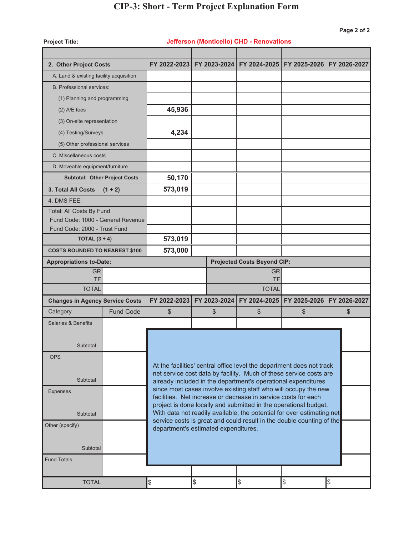| <b>Project Title:</b>                                                                    |                                      |                                                                                                                                    |    |              | <b>Jefferson (Monticello) CHD - Renovations</b> |                                                                                                                                     |              |  |  |  |  |
|------------------------------------------------------------------------------------------|--------------------------------------|------------------------------------------------------------------------------------------------------------------------------------|----|--------------|-------------------------------------------------|-------------------------------------------------------------------------------------------------------------------------------------|--------------|--|--|--|--|
|                                                                                          |                                      |                                                                                                                                    |    |              |                                                 |                                                                                                                                     |              |  |  |  |  |
| 2. Other Project Costs                                                                   |                                      | FY 2022-2023 FY 2023-2024                                                                                                          |    |              | FY 2024-2025                                    | FY 2025-2026 FY 2026-2027                                                                                                           |              |  |  |  |  |
| A. Land & existing facility acquisition                                                  |                                      |                                                                                                                                    |    |              |                                                 |                                                                                                                                     |              |  |  |  |  |
| <b>B. Professional services:</b>                                                         |                                      |                                                                                                                                    |    |              |                                                 |                                                                                                                                     |              |  |  |  |  |
| (1) Planning and programming                                                             |                                      |                                                                                                                                    |    |              |                                                 |                                                                                                                                     |              |  |  |  |  |
| $(2)$ A/E fees                                                                           |                                      | 45,936                                                                                                                             |    |              |                                                 |                                                                                                                                     |              |  |  |  |  |
| (3) On-site representation                                                               |                                      |                                                                                                                                    |    |              |                                                 |                                                                                                                                     |              |  |  |  |  |
| (4) Testing/Surveys                                                                      |                                      | 4,234                                                                                                                              |    |              |                                                 |                                                                                                                                     |              |  |  |  |  |
| (5) Other professional services                                                          |                                      |                                                                                                                                    |    |              |                                                 |                                                                                                                                     |              |  |  |  |  |
| C. Miscellaneous costs                                                                   |                                      |                                                                                                                                    |    |              |                                                 |                                                                                                                                     |              |  |  |  |  |
| D. Moveable equipment/furniture                                                          |                                      |                                                                                                                                    |    |              |                                                 |                                                                                                                                     |              |  |  |  |  |
|                                                                                          | <b>Subtotal: Other Project Costs</b> | 50,170                                                                                                                             |    |              |                                                 |                                                                                                                                     |              |  |  |  |  |
| 3. Total All Costs                                                                       | $(1 + 2)$                            | 573,019                                                                                                                            |    |              |                                                 |                                                                                                                                     |              |  |  |  |  |
| 4. DMS FEE:                                                                              |                                      |                                                                                                                                    |    |              |                                                 |                                                                                                                                     |              |  |  |  |  |
| Total: All Costs By Fund                                                                 |                                      |                                                                                                                                    |    |              |                                                 |                                                                                                                                     |              |  |  |  |  |
| Fund Code: 1000 - General Revenue                                                        |                                      |                                                                                                                                    |    |              |                                                 |                                                                                                                                     |              |  |  |  |  |
| Fund Code: 2000 - Trust Fund                                                             |                                      |                                                                                                                                    |    |              |                                                 |                                                                                                                                     |              |  |  |  |  |
| TOTAL $(3 + 4)$                                                                          |                                      | 573,019                                                                                                                            |    |              |                                                 |                                                                                                                                     |              |  |  |  |  |
| <b>COSTS ROUNDED TO NEAREST \$100</b>                                                    |                                      | 573,000                                                                                                                            |    |              |                                                 |                                                                                                                                     |              |  |  |  |  |
| <b>Appropriations to-Date:</b>                                                           |                                      |                                                                                                                                    |    |              | <b>Projected Costs Beyond CIP:</b>              |                                                                                                                                     |              |  |  |  |  |
| <b>GR</b><br>TF                                                                          |                                      |                                                                                                                                    |    |              | <b>GR</b><br><b>TF</b>                          |                                                                                                                                     |              |  |  |  |  |
| <b>TOTAL</b>                                                                             |                                      |                                                                                                                                    |    | <b>TOTAL</b> |                                                 |                                                                                                                                     |              |  |  |  |  |
| <b>Changes in Agency Service Costs</b>                                                   |                                      | FY 2022-2023                                                                                                                       |    | FY 2023-2024 | FY 2024-2025                                    | FY 2025-2026                                                                                                                        | FY 2026-2027 |  |  |  |  |
| Category                                                                                 | <b>Fund Code</b>                     | \$                                                                                                                                 |    | \$           | \$                                              | \$                                                                                                                                  | \$           |  |  |  |  |
| <b>Salaries &amp; Benefits</b>                                                           |                                      |                                                                                                                                    |    |              |                                                 |                                                                                                                                     |              |  |  |  |  |
|                                                                                          |                                      |                                                                                                                                    |    |              |                                                 |                                                                                                                                     |              |  |  |  |  |
| Subtotal                                                                                 |                                      |                                                                                                                                    |    |              |                                                 |                                                                                                                                     |              |  |  |  |  |
| <b>OPS</b>                                                                               |                                      |                                                                                                                                    |    |              |                                                 |                                                                                                                                     |              |  |  |  |  |
|                                                                                          |                                      |                                                                                                                                    |    |              |                                                 | At the facilities' central office level the department does not track                                                               |              |  |  |  |  |
| Subtotal                                                                                 |                                      |                                                                                                                                    |    |              |                                                 | net service cost data by facility. Much of these service costs are<br>already included in the department's operational expenditures |              |  |  |  |  |
| <b>Expenses</b>                                                                          |                                      |                                                                                                                                    |    |              |                                                 | since most cases involve existing staff who will occupy the new                                                                     |              |  |  |  |  |
|                                                                                          |                                      | facilities. Net increase or decrease in service costs for each<br>project is done locally and submitted in the operational budget. |    |              |                                                 |                                                                                                                                     |              |  |  |  |  |
| Subtotal                                                                                 |                                      | With data not readily available, the potential for over estimating net                                                             |    |              |                                                 |                                                                                                                                     |              |  |  |  |  |
| service costs is great and could result in the double counting of the<br>Other (specify) |                                      |                                                                                                                                    |    |              |                                                 |                                                                                                                                     |              |  |  |  |  |
| department's estimated expenditures.                                                     |                                      |                                                                                                                                    |    |              |                                                 |                                                                                                                                     |              |  |  |  |  |
| Subtotal                                                                                 |                                      |                                                                                                                                    |    |              |                                                 |                                                                                                                                     |              |  |  |  |  |
| <b>Fund Totals</b>                                                                       |                                      |                                                                                                                                    |    |              |                                                 |                                                                                                                                     |              |  |  |  |  |
|                                                                                          |                                      |                                                                                                                                    |    |              |                                                 |                                                                                                                                     |              |  |  |  |  |
| <b>TOTAL</b>                                                                             |                                      | \$                                                                                                                                 | \$ |              | \$                                              | \$                                                                                                                                  | \$           |  |  |  |  |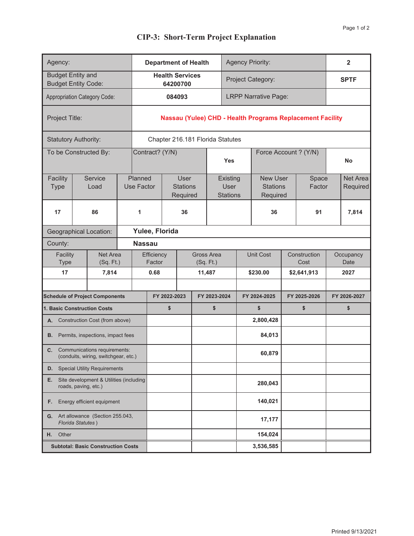| Agency:                                                               | $\overline{2}$<br><b>Agency Priority:</b><br><b>Department of Health</b>       |  |                       |                      |                 |                                     |                         |    |                                     |         |                                                           |                 |                      |              |                      |
|-----------------------------------------------------------------------|--------------------------------------------------------------------------------|--|-----------------------|----------------------|-----------------|-------------------------------------|-------------------------|----|-------------------------------------|---------|-----------------------------------------------------------|-----------------|----------------------|--------------|----------------------|
|                                                                       | <b>Budget Entity and</b><br><b>Budget Entity Code:</b>                         |  |                       |                      |                 | <b>Health Services</b><br>64200700  |                         |    |                                     |         | Project Category:                                         |                 |                      |              | <b>SPTF</b>          |
|                                                                       | <b>Appropriation Category Code:</b>                                            |  |                       |                      |                 | 084093                              |                         |    |                                     |         | <b>LRPP Narrative Page:</b>                               |                 |                      |              |                      |
| Project Title:                                                        |                                                                                |  |                       |                      |                 |                                     |                         |    |                                     |         | Nassau (Yulee) CHD - Health Programs Replacement Facility |                 |                      |              |                      |
|                                                                       | <b>Statutory Authority:</b>                                                    |  |                       |                      |                 | Chapter 216.181 Florida Statutes    |                         |    |                                     |         |                                                           |                 |                      |              |                      |
|                                                                       | To be Constructed By:                                                          |  |                       |                      | Contract? (Y/N) |                                     |                         |    | <b>Yes</b>                          |         | Force Account ? (Y/N)                                     |                 |                      |              | <b>No</b>            |
| Facility<br><b>Type</b>                                               | Service<br>Load                                                                |  | Planned<br>Use Factor |                      |                 | User<br><b>Stations</b><br>Required |                         |    | Existing<br>User<br><b>Stations</b> |         | <b>New User</b><br><b>Stations</b><br>Required            | Space<br>Factor |                      |              | Net Area<br>Required |
| 17                                                                    | 86                                                                             |  | 1                     | 36                   |                 |                                     |                         |    |                                     |         | 36                                                        |                 | 91                   |              | 7,814                |
| Yulee, Florida<br><b>Geographical Location:</b>                       |                                                                                |  |                       |                      |                 |                                     |                         |    |                                     |         |                                                           |                 |                      |              |                      |
| County:                                                               |                                                                                |  | <b>Nassau</b>         |                      |                 |                                     |                         |    |                                     |         |                                                           |                 |                      |              |                      |
| Facility<br><b>Type</b>                                               | Net Area<br>(Sq. Ft.)                                                          |  |                       | Efficiency<br>Factor |                 |                                     | Gross Area<br>(Sq. Ft.) |    |                                     |         | <b>Unit Cost</b>                                          |                 | Construction<br>Cost |              | Occupancy<br>Date    |
| 17                                                                    | 7,814                                                                          |  |                       | 0.68                 |                 |                                     | 11,487                  |    |                                     |         | \$230.00                                                  |                 | \$2,641,913          |              | 2027                 |
|                                                                       | <b>Schedule of Project Components</b>                                          |  |                       |                      | FY 2022-2023    |                                     | FY 2023-2024            |    | FY 2024-2025                        |         | FY 2025-2026                                              |                 |                      | FY 2026-2027 |                      |
|                                                                       | 1. Basic Construction Costs                                                    |  |                       |                      | \$              |                                     |                         | \$ |                                     | \$      |                                                           |                 | \$                   |              | \$                   |
|                                                                       | A. Construction Cost (from above)                                              |  |                       |                      |                 |                                     |                         |    |                                     |         | 2,800,428                                                 |                 |                      |              |                      |
| В.                                                                    | Permits, inspections, impact fees                                              |  |                       |                      |                 |                                     |                         |    |                                     |         | 84,013                                                    |                 |                      |              |                      |
|                                                                       | <b>C.</b> Communications requirements:<br>(conduits, wiring, switchgear, etc.) |  |                       |                      |                 |                                     |                         |    |                                     |         | 60,879                                                    |                 |                      |              |                      |
|                                                                       | <b>D.</b> Special Utility Requirements                                         |  |                       |                      |                 |                                     |                         |    |                                     |         |                                                           |                 |                      |              |                      |
| Site development & Utilities (including<br>Е.<br>roads, paving, etc.) |                                                                                |  |                       |                      |                 |                                     |                         |    |                                     |         | 280,043                                                   |                 |                      |              |                      |
| Energy efficient equipment<br>F.                                      |                                                                                |  |                       |                      |                 |                                     |                         |    |                                     | 140,021 |                                                           |                 |                      |              |                      |
| Art allowance (Section 255.043,<br>G.<br>Florida Statutes)            |                                                                                |  |                       |                      |                 |                                     |                         |    |                                     |         | 17,177                                                    |                 |                      |              |                      |
| Other<br>н.                                                           |                                                                                |  |                       |                      |                 |                                     |                         |    |                                     |         | 154,024                                                   |                 |                      |              |                      |
| 3,536,585<br><b>Subtotal: Basic Construction Costs</b>                |                                                                                |  |                       |                      |                 |                                     |                         |    |                                     |         |                                                           |                 |                      |              |                      |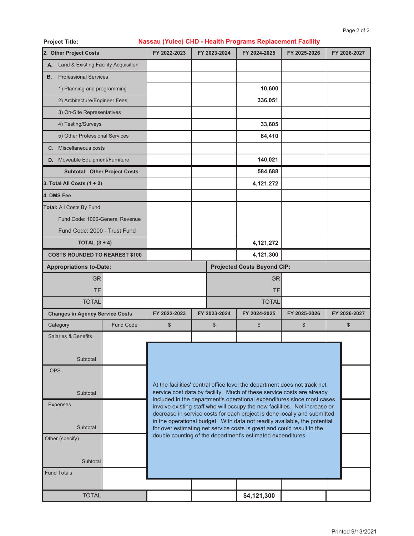| <b>Project Title:</b>                   |                  |              |  |              | Nassau (Yulee) CHD - Health Programs Replacement Facility                                                                                              |              |              |  |  |  |
|-----------------------------------------|------------------|--------------|--|--------------|--------------------------------------------------------------------------------------------------------------------------------------------------------|--------------|--------------|--|--|--|
| 2. Other Project Costs                  |                  | FY 2022-2023 |  | FY 2023-2024 | FY 2024-2025                                                                                                                                           | FY 2025-2026 | FY 2026-2027 |  |  |  |
| A. Land & Existing Facility Acquisition |                  |              |  |              |                                                                                                                                                        |              |              |  |  |  |
| <b>Professional Services</b><br>В.      |                  |              |  |              |                                                                                                                                                        |              |              |  |  |  |
| 1) Planning and programming             |                  |              |  |              | 10,600                                                                                                                                                 |              |              |  |  |  |
| 2) Architecture/Engineer Fees           |                  |              |  |              | 336,051                                                                                                                                                |              |              |  |  |  |
| 3) On-Site Representatives              |                  |              |  |              |                                                                                                                                                        |              |              |  |  |  |
| 4) Testing/Surveys                      |                  |              |  |              | 33,605                                                                                                                                                 |              |              |  |  |  |
| 5) Other Professional Services          |                  |              |  |              | 64,410                                                                                                                                                 |              |              |  |  |  |
| Miscellaneous costs<br>C.               |                  |              |  |              |                                                                                                                                                        |              |              |  |  |  |
| D. Moveable Equipment/Furniture         |                  |              |  |              | 140,021                                                                                                                                                |              |              |  |  |  |
| <b>Subtotal: Other Project Costs</b>    |                  |              |  |              | 584,688                                                                                                                                                |              |              |  |  |  |
| 3. Total All Costs $(1 + 2)$            |                  |              |  |              | 4,121,272                                                                                                                                              |              |              |  |  |  |
| 4. DMS Fee                              |                  |              |  |              |                                                                                                                                                        |              |              |  |  |  |
| Total: All Costs By Fund                |                  |              |  |              |                                                                                                                                                        |              |              |  |  |  |
| Fund Code: 1000-General Revenue         |                  |              |  |              |                                                                                                                                                        |              |              |  |  |  |
| Fund Code: 2000 - Trust Fund            |                  |              |  |              |                                                                                                                                                        |              |              |  |  |  |
| TOTAL $(3 + 4)$                         |                  |              |  |              | 4,121,272                                                                                                                                              |              |              |  |  |  |
| <b>COSTS ROUNDED TO NEAREST \$100</b>   |                  |              |  |              | 4,121,300                                                                                                                                              |              |              |  |  |  |
| <b>Appropriations to-Date:</b>          |                  |              |  |              | <b>Projected Costs Beyond CIP:</b>                                                                                                                     |              |              |  |  |  |
| GRI                                     |                  |              |  |              | <b>GR</b>                                                                                                                                              |              |              |  |  |  |
| TF                                      |                  |              |  |              | TF                                                                                                                                                     |              |              |  |  |  |
| <b>TOTAL</b>                            |                  |              |  |              | <b>TOTAL</b>                                                                                                                                           |              |              |  |  |  |
| <b>Changes in Agency Service Costs</b>  |                  | FY 2022-2023 |  | FY 2023-2024 | FY 2024-2025                                                                                                                                           | FY 2025-2026 | FY 2026-2027 |  |  |  |
| Category                                | <b>Fund Code</b> | \$           |  | \$           | \$                                                                                                                                                     | \$           | \$           |  |  |  |
| <b>Salaries &amp; Benefits</b>          |                  |              |  |              |                                                                                                                                                        |              |              |  |  |  |
|                                         |                  |              |  |              |                                                                                                                                                        |              |              |  |  |  |
| Subtotal                                |                  |              |  |              |                                                                                                                                                        |              |              |  |  |  |
| <b>OPS</b>                              |                  |              |  |              |                                                                                                                                                        |              |              |  |  |  |
|                                         |                  |              |  |              | At the facilities' central office level the department does not track net                                                                              |              |              |  |  |  |
| Subtotal                                |                  |              |  |              | service cost data by facility. Much of these service costs are already<br>included in the department's operational expenditures since most cases       |              |              |  |  |  |
| <b>Expenses</b>                         |                  |              |  |              | involve existing staff who will occupy the new facilities. Net increase or<br>decrease in service costs for each project is done locally and submitted |              |              |  |  |  |
|                                         |                  |              |  |              | in the operational budget. With data not readily available, the potential                                                                              |              |              |  |  |  |
| Subtotal                                |                  |              |  |              | for over estimating net service costs is great and could result in the<br>double counting of the department's estimated expenditures.                  |              |              |  |  |  |
| Other (specify)                         |                  |              |  |              |                                                                                                                                                        |              |              |  |  |  |
|                                         |                  |              |  |              |                                                                                                                                                        |              |              |  |  |  |
| Subtotal<br><b>Fund Totals</b>          |                  |              |  |              |                                                                                                                                                        |              |              |  |  |  |
|                                         |                  |              |  |              |                                                                                                                                                        |              |              |  |  |  |
| <b>TOTAL</b>                            |                  |              |  |              | \$4,121,300                                                                                                                                            |              |              |  |  |  |
|                                         |                  |              |  |              |                                                                                                                                                        |              |              |  |  |  |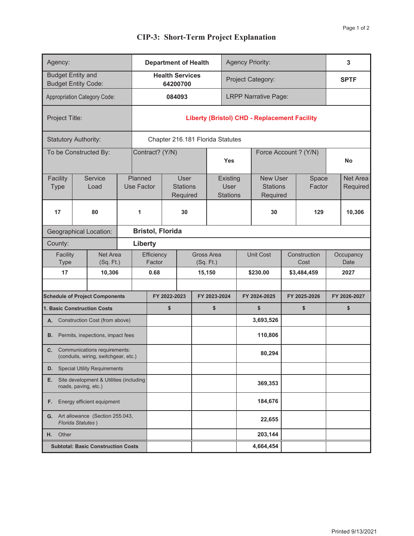| Agency:                                                    |                                                                                                           |  | <b>Agency Priority:</b><br>3<br><b>Department of Health</b> |                      |                 |                                     |                                  |    |                                     |              |                                                     |                 |                      |  |                      |
|------------------------------------------------------------|-----------------------------------------------------------------------------------------------------------|--|-------------------------------------------------------------|----------------------|-----------------|-------------------------------------|----------------------------------|----|-------------------------------------|--------------|-----------------------------------------------------|-----------------|----------------------|--|----------------------|
| <b>Budget Entity and</b>                                   | <b>Budget Entity Code:</b>                                                                                |  |                                                             |                      |                 | <b>Health Services</b><br>64200700  |                                  |    |                                     |              | Project Category:                                   |                 |                      |  | <b>SPTF</b>          |
|                                                            | <b>Appropriation Category Code:</b>                                                                       |  |                                                             |                      |                 | 084093                              |                                  |    |                                     |              | <b>LRPP Narrative Page:</b>                         |                 |                      |  |                      |
| Project Title:                                             |                                                                                                           |  |                                                             |                      |                 |                                     |                                  |    |                                     |              | <b>Liberty (Bristol) CHD - Replacement Facility</b> |                 |                      |  |                      |
|                                                            | <b>Statutory Authority:</b>                                                                               |  |                                                             |                      |                 |                                     | Chapter 216.181 Florida Statutes |    |                                     |              |                                                     |                 |                      |  |                      |
|                                                            | To be Constructed By:                                                                                     |  |                                                             |                      | Contract? (Y/N) |                                     |                                  |    | <b>Yes</b>                          |              | Force Account ? (Y/N)                               |                 |                      |  | No                   |
| Facility<br><b>Type</b>                                    | Service<br>Load                                                                                           |  | Planned<br>Use Factor                                       |                      |                 | User<br><b>Stations</b><br>Required |                                  |    | Existing<br>User<br><b>Stations</b> |              | <b>New User</b><br><b>Stations</b><br>Required      | Space<br>Factor |                      |  | Net Area<br>Required |
| 17                                                         | 80                                                                                                        |  | 1                                                           | 30                   |                 |                                     |                                  |    |                                     |              | 30                                                  |                 | 129                  |  | 10,306               |
|                                                            | <b>Bristol, Florida</b><br><b>Geographical Location:</b>                                                  |  |                                                             |                      |                 |                                     |                                  |    |                                     |              |                                                     |                 |                      |  |                      |
| County:<br>Liberty                                         |                                                                                                           |  |                                                             |                      |                 |                                     |                                  |    |                                     |              |                                                     |                 |                      |  |                      |
| Facility<br><b>Type</b>                                    | Net Area<br>(Sq. Ft.)                                                                                     |  |                                                             | Efficiency<br>Factor |                 |                                     | Gross Area<br>(Sq. Ft.)          |    |                                     |              | Unit Cost                                           |                 | Construction<br>Cost |  | Occupancy<br>Date    |
| 17                                                         | 10,306                                                                                                    |  |                                                             | 0.68                 |                 |                                     | 15,150                           |    |                                     |              | \$230.00                                            |                 | \$3,484,459          |  | 2027                 |
|                                                            |                                                                                                           |  |                                                             |                      |                 |                                     |                                  |    |                                     |              |                                                     |                 |                      |  |                      |
|                                                            | <b>Schedule of Project Components</b>                                                                     |  |                                                             |                      | FY 2022-2023    |                                     | FY 2023-2024                     |    |                                     | FY 2024-2025 |                                                     |                 | FY 2025-2026         |  | FY 2026-2027         |
|                                                            | 1. Basic Construction Costs<br>A. Construction Cost (from above)                                          |  |                                                             |                      | \$              |                                     |                                  | \$ |                                     |              | \$<br>3,693,526                                     |                 | \$                   |  | \$                   |
| В.                                                         | Permits, inspections, impact fees                                                                         |  |                                                             |                      |                 |                                     |                                  |    |                                     |              | 110,806                                             |                 |                      |  |                      |
|                                                            | <b>C.</b> Communications requirements:<br>(conduits, wiring, switchgear, etc.)                            |  |                                                             |                      |                 |                                     |                                  |    |                                     |              | 80,294                                              |                 |                      |  |                      |
|                                                            |                                                                                                           |  |                                                             |                      |                 |                                     |                                  |    |                                     |              |                                                     |                 |                      |  |                      |
| Е.                                                         | <b>D.</b> Special Utility Requirements<br>Site development & Utilities (including<br>roads, paving, etc.) |  |                                                             |                      |                 |                                     |                                  |    |                                     |              | 369,353                                             |                 |                      |  |                      |
| Energy efficient equipment<br>F.                           |                                                                                                           |  |                                                             |                      |                 |                                     |                                  |    |                                     | 184,676      |                                                     |                 |                      |  |                      |
| Art allowance (Section 255.043,<br>G.<br>Florida Statutes) |                                                                                                           |  |                                                             |                      |                 |                                     |                                  |    |                                     |              | 22,655                                              |                 |                      |  |                      |
| Other<br>Н.                                                |                                                                                                           |  |                                                             |                      |                 |                                     |                                  |    |                                     | 203,144      |                                                     |                 |                      |  |                      |
|                                                            | <b>Subtotal: Basic Construction Costs</b>                                                                 |  |                                                             |                      |                 |                                     |                                  |    |                                     |              | 4,664,454                                           |                 |                      |  |                      |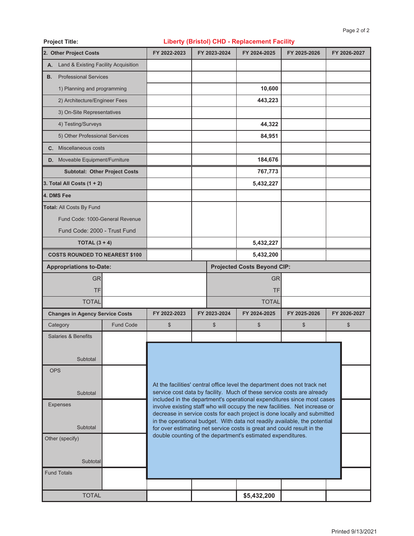| <b>Project Title:</b>                      |                  | <b>Liberty (Bristol) CHD - Replacement Facility</b> |  |              |                                                                                                                                       |                                                                                                                                                        |              |  |  |  |  |  |
|--------------------------------------------|------------------|-----------------------------------------------------|--|--------------|---------------------------------------------------------------------------------------------------------------------------------------|--------------------------------------------------------------------------------------------------------------------------------------------------------|--------------|--|--|--|--|--|
| 2. Other Project Costs                     |                  | FY 2022-2023                                        |  | FY 2023-2024 | FY 2024-2025                                                                                                                          | FY 2025-2026                                                                                                                                           | FY 2026-2027 |  |  |  |  |  |
| Land & Existing Facility Acquisition<br>А. |                  |                                                     |  |              |                                                                                                                                       |                                                                                                                                                        |              |  |  |  |  |  |
| <b>Professional Services</b><br>В.         |                  |                                                     |  |              |                                                                                                                                       |                                                                                                                                                        |              |  |  |  |  |  |
| 1) Planning and programming                |                  |                                                     |  |              | 10,600                                                                                                                                |                                                                                                                                                        |              |  |  |  |  |  |
| 2) Architecture/Engineer Fees              |                  |                                                     |  |              | 443,223                                                                                                                               |                                                                                                                                                        |              |  |  |  |  |  |
| 3) On-Site Representatives                 |                  |                                                     |  |              |                                                                                                                                       |                                                                                                                                                        |              |  |  |  |  |  |
| 4) Testing/Surveys                         |                  |                                                     |  |              | 44,322                                                                                                                                |                                                                                                                                                        |              |  |  |  |  |  |
| 5) Other Professional Services             |                  |                                                     |  |              | 84,951                                                                                                                                |                                                                                                                                                        |              |  |  |  |  |  |
| C. Miscellaneous costs                     |                  |                                                     |  |              |                                                                                                                                       |                                                                                                                                                        |              |  |  |  |  |  |
| D. Moveable Equipment/Furniture            |                  |                                                     |  |              | 184,676                                                                                                                               |                                                                                                                                                        |              |  |  |  |  |  |
| <b>Subtotal: Other Project Costs</b>       |                  |                                                     |  |              | 767,773                                                                                                                               |                                                                                                                                                        |              |  |  |  |  |  |
| 3. Total All Costs $(1 + 2)$               |                  |                                                     |  |              | 5,432,227                                                                                                                             |                                                                                                                                                        |              |  |  |  |  |  |
| 4. DMS Fee                                 |                  |                                                     |  |              |                                                                                                                                       |                                                                                                                                                        |              |  |  |  |  |  |
| <b>Total: All Costs By Fund</b>            |                  |                                                     |  |              |                                                                                                                                       |                                                                                                                                                        |              |  |  |  |  |  |
| Fund Code: 1000-General Revenue            |                  |                                                     |  |              |                                                                                                                                       |                                                                                                                                                        |              |  |  |  |  |  |
| Fund Code: 2000 - Trust Fund               |                  |                                                     |  |              |                                                                                                                                       |                                                                                                                                                        |              |  |  |  |  |  |
| TOTAL $(3 + 4)$                            |                  |                                                     |  |              | 5,432,227                                                                                                                             |                                                                                                                                                        |              |  |  |  |  |  |
| <b>COSTS ROUNDED TO NEAREST \$100</b>      |                  |                                                     |  |              | 5,432,200                                                                                                                             |                                                                                                                                                        |              |  |  |  |  |  |
| <b>Appropriations to-Date:</b>             |                  | <b>Projected Costs Beyond CIP:</b>                  |  |              |                                                                                                                                       |                                                                                                                                                        |              |  |  |  |  |  |
| <b>GR</b>                                  |                  |                                                     |  |              | <b>GR</b>                                                                                                                             |                                                                                                                                                        |              |  |  |  |  |  |
| TF                                         |                  |                                                     |  |              |                                                                                                                                       |                                                                                                                                                        |              |  |  |  |  |  |
| <b>TOTAL</b>                               |                  |                                                     |  |              | <b>TOTAL</b>                                                                                                                          |                                                                                                                                                        |              |  |  |  |  |  |
| <b>Changes in Agency Service Costs</b>     |                  | FY 2022-2023                                        |  | FY 2023-2024 | FY 2024-2025                                                                                                                          | FY 2025-2026                                                                                                                                           | FY 2026-2027 |  |  |  |  |  |
| Category                                   | <b>Fund Code</b> | \$                                                  |  | \$           | $\$\$                                                                                                                                 | $\mathcal{S}$                                                                                                                                          | \$           |  |  |  |  |  |
| <b>Salaries &amp; Benefits</b>             |                  |                                                     |  |              |                                                                                                                                       |                                                                                                                                                        |              |  |  |  |  |  |
|                                            |                  |                                                     |  |              |                                                                                                                                       |                                                                                                                                                        |              |  |  |  |  |  |
| Subtotal                                   |                  |                                                     |  |              |                                                                                                                                       |                                                                                                                                                        |              |  |  |  |  |  |
| <b>OPS</b>                                 |                  |                                                     |  |              |                                                                                                                                       |                                                                                                                                                        |              |  |  |  |  |  |
|                                            |                  |                                                     |  |              |                                                                                                                                       | At the facilities' central office level the department does not track net                                                                              |              |  |  |  |  |  |
| Subtotal                                   |                  |                                                     |  |              |                                                                                                                                       | service cost data by facility. Much of these service costs are already<br>included in the department's operational expenditures since most cases       |              |  |  |  |  |  |
| <b>Expenses</b>                            |                  |                                                     |  |              |                                                                                                                                       | involve existing staff who will occupy the new facilities. Net increase or<br>decrease in service costs for each project is done locally and submitted |              |  |  |  |  |  |
|                                            |                  |                                                     |  |              |                                                                                                                                       | in the operational budget. With data not readily available, the potential                                                                              |              |  |  |  |  |  |
| Subtotal                                   |                  |                                                     |  |              | for over estimating net service costs is great and could result in the<br>double counting of the department's estimated expenditures. |                                                                                                                                                        |              |  |  |  |  |  |
| Other (specify)                            |                  |                                                     |  |              |                                                                                                                                       |                                                                                                                                                        |              |  |  |  |  |  |
| Subtotal                                   |                  |                                                     |  |              |                                                                                                                                       |                                                                                                                                                        |              |  |  |  |  |  |
| <b>Fund Totals</b>                         |                  |                                                     |  |              |                                                                                                                                       |                                                                                                                                                        |              |  |  |  |  |  |
|                                            |                  |                                                     |  |              |                                                                                                                                       |                                                                                                                                                        |              |  |  |  |  |  |
| <b>TOTAL</b>                               |                  |                                                     |  |              | \$5,432,200                                                                                                                           |                                                                                                                                                        |              |  |  |  |  |  |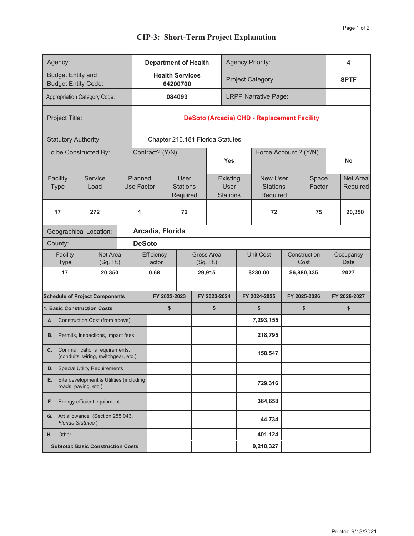| Agency:                                                    |                                                                                |  | <b>Agency Priority:</b><br><b>Department of Health</b> |                                   |                    |                                     |                                  |    |                                            | 4                  |                                                    |                      |                 |                   |                      |
|------------------------------------------------------------|--------------------------------------------------------------------------------|--|--------------------------------------------------------|-----------------------------------|--------------------|-------------------------------------|----------------------------------|----|--------------------------------------------|--------------------|----------------------------------------------------|----------------------|-----------------|-------------------|----------------------|
| <b>Budget Entity and</b>                                   | <b>Budget Entity Code:</b>                                                     |  |                                                        |                                   |                    | <b>Health Services</b><br>64200700  |                                  |    |                                            |                    | Project Category:                                  |                      |                 |                   | <b>SPTF</b>          |
|                                                            | <b>Appropriation Category Code:</b>                                            |  |                                                        |                                   |                    | 084093                              |                                  |    |                                            |                    | <b>LRPP Narrative Page:</b>                        |                      |                 |                   |                      |
| Project Title:                                             |                                                                                |  |                                                        |                                   |                    |                                     |                                  |    |                                            |                    | <b>DeSoto (Arcadia) CHD - Replacement Facility</b> |                      |                 |                   |                      |
|                                                            | <b>Statutory Authority:</b>                                                    |  |                                                        |                                   |                    |                                     | Chapter 216.181 Florida Statutes |    |                                            |                    |                                                    |                      |                 |                   |                      |
|                                                            | To be Constructed By:                                                          |  |                                                        |                                   | Contract? (Y/N)    |                                     |                                  |    | <b>Yes</b>                                 |                    | Force Account ? (Y/N)                              |                      |                 |                   | No                   |
| Facility<br><b>Type</b>                                    | Service<br>Load                                                                |  | Planned<br>Use Factor                                  |                                   |                    | User<br><b>Stations</b><br>Required |                                  |    | Existing<br><b>User</b><br><b>Stations</b> |                    | <b>New User</b><br><b>Stations</b><br>Required     |                      | Space<br>Factor |                   | Net Area<br>Required |
| 17                                                         | 272                                                                            |  | 72<br>1                                                |                                   |                    |                                     |                                  |    |                                            |                    | 72                                                 |                      | 75              |                   | 20,350               |
| Arcadia, Florida<br><b>Geographical Location:</b>          |                                                                                |  |                                                        |                                   |                    |                                     |                                  |    |                                            |                    |                                                    |                      |                 |                   |                      |
| <b>DeSoto</b><br>County:                                   |                                                                                |  |                                                        |                                   |                    |                                     |                                  |    |                                            |                    |                                                    |                      |                 |                   |                      |
| Facility<br><b>Type</b>                                    | <b>Net Area</b><br>(Sq. Ft.)                                                   |  |                                                        | Efficiency<br>Factor<br>(Sq. Ft.) |                    |                                     | Gross Area                       |    |                                            | Unit Cost          |                                                    | Construction<br>Cost |                 | Occupancy<br>Date |                      |
| 17                                                         | 20,350                                                                         |  |                                                        | 0.68                              |                    |                                     | 29,915                           |    |                                            |                    | \$230.00                                           |                      | \$6,880,335     |                   | 2027                 |
|                                                            |                                                                                |  |                                                        |                                   |                    |                                     |                                  |    |                                            |                    |                                                    |                      |                 |                   |                      |
|                                                            | <b>Schedule of Project Components</b>                                          |  |                                                        |                                   | FY 2022-2023<br>\$ |                                     | FY 2023-2024                     |    |                                            | FY 2024-2025<br>\$ |                                                    | FY 2025-2026         |                 |                   | FY 2026-2027<br>\$   |
|                                                            | 1. Basic Construction Costs<br>A. Construction Cost (from above)               |  |                                                        |                                   |                    |                                     |                                  | \$ |                                            | 7,293,155          |                                                    |                      | \$              |                   |                      |
| В.                                                         | Permits, inspections, impact fees                                              |  |                                                        |                                   |                    |                                     |                                  |    |                                            |                    | 218,795                                            |                      |                 |                   |                      |
|                                                            | <b>C.</b> Communications requirements:<br>(conduits, wiring, switchgear, etc.) |  |                                                        |                                   |                    |                                     |                                  |    |                                            |                    | 158,547                                            |                      |                 |                   |                      |
|                                                            | <b>D.</b> Special Utility Requirements                                         |  |                                                        |                                   |                    |                                     |                                  |    |                                            |                    |                                                    |                      |                 |                   |                      |
| Е.                                                         | Site development & Utilities (including<br>roads, paving, etc.)                |  |                                                        |                                   |                    |                                     |                                  |    |                                            |                    | 729,316                                            |                      |                 |                   |                      |
| Energy efficient equipment<br>F.                           |                                                                                |  |                                                        |                                   |                    |                                     |                                  |    |                                            | 364,658            |                                                    |                      |                 |                   |                      |
| Art allowance (Section 255.043,<br>G.<br>Florida Statutes) |                                                                                |  |                                                        |                                   |                    |                                     |                                  |    |                                            |                    | 44,734                                             |                      |                 |                   |                      |
| Other<br>Н.                                                |                                                                                |  |                                                        |                                   |                    |                                     |                                  |    |                                            |                    | 401,124                                            |                      |                 |                   |                      |
|                                                            | <b>Subtotal: Basic Construction Costs</b>                                      |  |                                                        |                                   |                    |                                     |                                  |    |                                            |                    | 9,210,327                                          |                      |                 |                   |                      |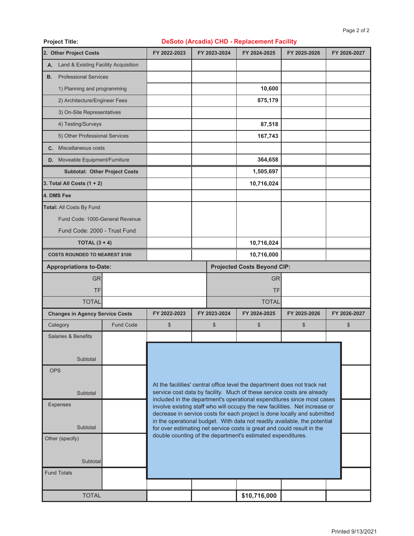| 2. Other Project Costs                     |                                      | FY 2022-2023 | FY 2023-2024 | FY 2024-2025                                                                                                                                          | FY 2025-2026 | FY 2026-2027 |
|--------------------------------------------|--------------------------------------|--------------|--------------|-------------------------------------------------------------------------------------------------------------------------------------------------------|--------------|--------------|
| Land & Existing Facility Acquisition<br>А. |                                      |              |              |                                                                                                                                                       |              |              |
| <b>Professional Services</b><br><b>B.</b>  |                                      |              |              |                                                                                                                                                       |              |              |
| 1) Planning and programming                |                                      |              |              | 10,600                                                                                                                                                |              |              |
| 2) Architecture/Engineer Fees              |                                      |              |              | 875,179                                                                                                                                               |              |              |
| 3) On-Site Representatives                 |                                      |              |              |                                                                                                                                                       |              |              |
| 4) Testing/Surveys                         |                                      |              |              | 87,518                                                                                                                                                |              |              |
| 5) Other Professional Services             |                                      |              |              | 167,743                                                                                                                                               |              |              |
| Miscellaneous costs<br>С.                  |                                      |              |              |                                                                                                                                                       |              |              |
| D. Moveable Equipment/Furniture            |                                      |              |              | 364,658                                                                                                                                               |              |              |
|                                            | <b>Subtotal: Other Project Costs</b> |              |              | 1,505,697                                                                                                                                             |              |              |
| 3. Total All Costs $(1 + 2)$               |                                      |              |              | 10,716,024                                                                                                                                            |              |              |
| 4. DMS Fee                                 |                                      |              |              |                                                                                                                                                       |              |              |
| Total: All Costs By Fund                   |                                      |              |              |                                                                                                                                                       |              |              |
| Fund Code: 1000-General Revenue            |                                      |              |              |                                                                                                                                                       |              |              |
| Fund Code: 2000 - Trust Fund               |                                      |              |              |                                                                                                                                                       |              |              |
| TOTAL $(3 + 4)$                            |                                      |              |              | 10,716,024                                                                                                                                            |              |              |
| <b>COSTS ROUNDED TO NEAREST \$100</b>      |                                      |              |              | 10,716,000                                                                                                                                            |              |              |
| <b>Appropriations to-Date:</b>             |                                      |              |              | <b>Projected Costs Beyond CIP:</b>                                                                                                                    |              |              |
| <b>GR</b>                                  |                                      |              |              | <b>GR</b>                                                                                                                                             |              |              |
| <b>TF</b>                                  |                                      |              |              | <b>TF</b>                                                                                                                                             |              |              |
| <b>TOTAL</b>                               |                                      |              |              | <b>TOTAL</b>                                                                                                                                          |              |              |
| <b>Changes in Agency Service Costs</b>     |                                      | FY 2022-2023 | FY 2023-2024 | FY 2024-2025                                                                                                                                          | FY 2025-2026 | FY 2026-2027 |
| Category                                   | <b>Fund Code</b>                     | \$           | \$           | $\$\$                                                                                                                                                 | \$           | \$           |
| <b>Salaries &amp; Benefits</b>             |                                      |              |              |                                                                                                                                                       |              |              |
|                                            |                                      |              |              |                                                                                                                                                       |              |              |
| Subtotal                                   |                                      |              |              |                                                                                                                                                       |              |              |
| <b>OPS</b>                                 |                                      |              |              |                                                                                                                                                       |              |              |
|                                            |                                      |              |              | At the facilities' central office level the department does not track net                                                                             |              |              |
| Subtotal                                   |                                      |              |              | service cost data by facility. Much of these service costs are already<br>included in the department's operational expenditures since most cases      |              |              |
| <b>Expenses</b>                            |                                      |              |              | involve existing staff who will occupy the new facilities. Net increase or                                                                            |              |              |
|                                            |                                      |              |              | decrease in service costs for each project is done locally and submitted<br>in the operational budget. With data not readily available, the potential |              |              |
| Subtotal                                   |                                      |              |              | for over estimating net service costs is great and could result in the                                                                                |              |              |
| Other (specify)                            |                                      |              |              | double counting of the department's estimated expenditures.                                                                                           |              |              |
|                                            |                                      |              |              |                                                                                                                                                       |              |              |
| Subtotal                                   |                                      |              |              |                                                                                                                                                       |              |              |
| <b>Fund Totals</b>                         |                                      |              |              |                                                                                                                                                       |              |              |
|                                            |                                      |              |              |                                                                                                                                                       |              |              |
| <b>TOTAL</b>                               |                                      |              |              | \$10,716,000                                                                                                                                          |              |              |

**DeSoto (Arcadia) CHD - Replacement Facility**

**Project Title:**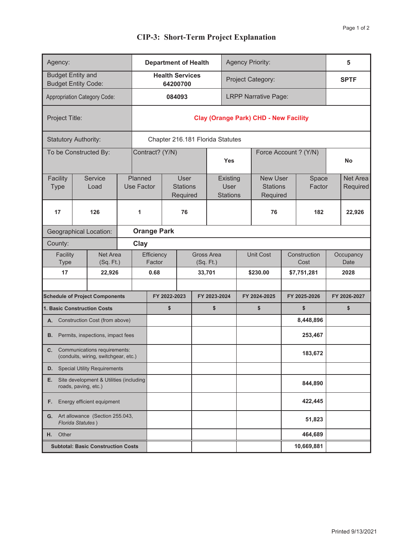| Agency:                                                    |                                                                                |  | <b>Agency Priority:</b><br><b>Department of Health</b> |                      |                    |                                     |                                  |  |                                                                                       |                    | $5\phantom{1}$                               |                    |                      |  |                      |
|------------------------------------------------------------|--------------------------------------------------------------------------------|--|--------------------------------------------------------|----------------------|--------------------|-------------------------------------|----------------------------------|--|---------------------------------------------------------------------------------------|--------------------|----------------------------------------------|--------------------|----------------------|--|----------------------|
| <b>Budget Entity and</b>                                   | <b>Budget Entity Code:</b>                                                     |  |                                                        |                      |                    | <b>Health Services</b><br>64200700  |                                  |  |                                                                                       |                    | Project Category:                            |                    |                      |  | <b>SPTF</b>          |
|                                                            | <b>Appropriation Category Code:</b>                                            |  |                                                        |                      |                    | 084093                              |                                  |  |                                                                                       |                    | <b>LRPP Narrative Page:</b>                  |                    |                      |  |                      |
| Project Title:                                             |                                                                                |  |                                                        |                      |                    |                                     |                                  |  |                                                                                       |                    | <b>Clay (Orange Park) CHD - New Facility</b> |                    |                      |  |                      |
|                                                            | <b>Statutory Authority:</b>                                                    |  |                                                        |                      |                    |                                     | Chapter 216.181 Florida Statutes |  |                                                                                       |                    |                                              |                    |                      |  |                      |
|                                                            | To be Constructed By:                                                          |  |                                                        |                      | Contract? (Y/N)    |                                     |                                  |  | <b>Yes</b>                                                                            |                    | Force Account ? (Y/N)                        |                    |                      |  | No                   |
| Facility<br><b>Type</b>                                    | Service<br>Load                                                                |  | Planned<br>Use Factor                                  |                      |                    | User<br><b>Stations</b><br>Required |                                  |  | <b>New User</b><br>Existing<br>User<br><b>Stations</b><br><b>Stations</b><br>Required |                    |                                              | Space<br>Factor    |                      |  | Net Area<br>Required |
| 17                                                         | 126                                                                            |  | 1<br>76<br><b>Orange Park</b>                          |                      |                    |                                     |                                  |  |                                                                                       |                    | 76                                           |                    | 182                  |  | 22,926               |
| <b>Geographical Location:</b>                              |                                                                                |  |                                                        |                      |                    |                                     |                                  |  |                                                                                       |                    |                                              |                    |                      |  |                      |
| County:                                                    | <b>Clay</b>                                                                    |  |                                                        |                      |                    |                                     |                                  |  |                                                                                       |                    |                                              |                    |                      |  |                      |
| Facility<br><b>Type</b>                                    | Net Area<br>(Sq. Ft.)                                                          |  |                                                        | Efficiency<br>Factor |                    |                                     | Gross Area<br>(Sq. Ft.)          |  |                                                                                       |                    | Unit Cost                                    |                    | Construction<br>Cost |  | Occupancy<br>Date    |
| 17                                                         | 22,926                                                                         |  |                                                        | 0.68                 |                    |                                     | 33,701                           |  |                                                                                       |                    | \$230.00                                     |                    | \$7,751,281          |  | 2028                 |
|                                                            |                                                                                |  |                                                        |                      |                    |                                     |                                  |  |                                                                                       |                    |                                              |                    |                      |  |                      |
|                                                            | <b>Schedule of Project Components</b><br>1. Basic Construction Costs           |  |                                                        |                      | FY 2022-2023<br>\$ |                                     | FY 2023-2024<br>\$               |  |                                                                                       | FY 2024-2025<br>\$ |                                              | FY 2025-2026<br>\$ |                      |  | FY 2026-2027<br>\$   |
|                                                            | A. Construction Cost (from above)                                              |  |                                                        |                      |                    |                                     |                                  |  |                                                                                       |                    |                                              |                    | 8,448,896            |  |                      |
| В.                                                         | Permits, inspections, impact fees                                              |  |                                                        |                      |                    |                                     |                                  |  |                                                                                       |                    |                                              |                    | 253,467              |  |                      |
|                                                            | <b>C.</b> Communications requirements:<br>(conduits, wiring, switchgear, etc.) |  |                                                        |                      |                    |                                     |                                  |  |                                                                                       |                    |                                              |                    | 183,672              |  |                      |
|                                                            | <b>D.</b> Special Utility Requirements                                         |  |                                                        |                      |                    |                                     |                                  |  |                                                                                       |                    |                                              |                    |                      |  |                      |
| Е.                                                         | Site development & Utilities (including<br>roads, paving, etc.)                |  |                                                        |                      |                    |                                     |                                  |  |                                                                                       |                    |                                              |                    | 844,890              |  |                      |
| Energy efficient equipment<br>F.                           |                                                                                |  |                                                        |                      |                    |                                     |                                  |  |                                                                                       |                    |                                              |                    | 422,445              |  |                      |
| Art allowance (Section 255.043,<br>G.<br>Florida Statutes) |                                                                                |  |                                                        |                      |                    |                                     |                                  |  |                                                                                       |                    |                                              |                    | 51,823               |  |                      |
| Other<br>Н.                                                |                                                                                |  |                                                        |                      |                    |                                     |                                  |  |                                                                                       |                    |                                              |                    | 464,689              |  |                      |
|                                                            | <b>Subtotal: Basic Construction Costs</b>                                      |  |                                                        |                      |                    |                                     |                                  |  |                                                                                       |                    |                                              |                    | 10,669,881           |  |                      |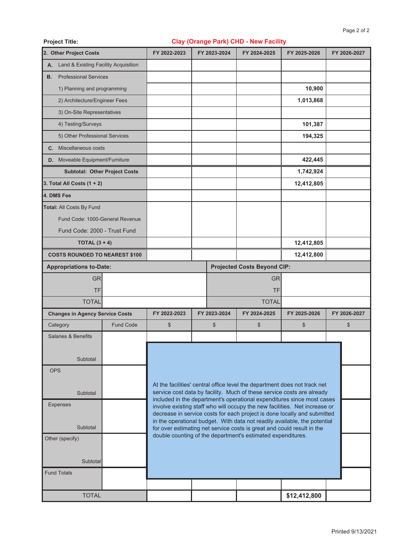| 2. Other Project Costs                     |                                      | FY 2022-2023 | FY 2023-2024 | FY 2024-2025                                                | FY 2025-2026                                                                                                                                          | FY 2026-2027 |
|--------------------------------------------|--------------------------------------|--------------|--------------|-------------------------------------------------------------|-------------------------------------------------------------------------------------------------------------------------------------------------------|--------------|
| Land & Existing Facility Acquisition<br>А. |                                      |              |              |                                                             |                                                                                                                                                       |              |
| <b>Professional Services</b><br>В.         |                                      |              |              |                                                             |                                                                                                                                                       |              |
| 1) Planning and programming                |                                      |              |              |                                                             | 10,900                                                                                                                                                |              |
| 2) Architecture/Engineer Fees              |                                      |              |              |                                                             | 1,013,868                                                                                                                                             |              |
| 3) On-Site Representatives                 |                                      |              |              |                                                             |                                                                                                                                                       |              |
| 4) Testing/Surveys                         |                                      |              |              |                                                             | 101,387                                                                                                                                               |              |
| 5) Other Professional Services             |                                      |              |              |                                                             | 194,325                                                                                                                                               |              |
| Miscellaneous costs<br>C.                  |                                      |              |              |                                                             |                                                                                                                                                       |              |
| D. Moveable Equipment/Furniture            |                                      |              |              |                                                             | 422,445                                                                                                                                               |              |
|                                            | <b>Subtotal: Other Project Costs</b> |              |              |                                                             | 1,742,924                                                                                                                                             |              |
| 3. Total All Costs $(1 + 2)$               |                                      |              |              |                                                             | 12,412,805                                                                                                                                            |              |
| 4. DMS Fee                                 |                                      |              |              |                                                             |                                                                                                                                                       |              |
| Total: All Costs By Fund                   |                                      |              |              |                                                             |                                                                                                                                                       |              |
| Fund Code: 1000-General Revenue            |                                      |              |              |                                                             |                                                                                                                                                       |              |
| Fund Code: 2000 - Trust Fund               |                                      |              |              |                                                             |                                                                                                                                                       |              |
| TOTAL $(3 + 4)$                            |                                      |              |              |                                                             | 12,412,805                                                                                                                                            |              |
| <b>COSTS ROUNDED TO NEAREST \$100</b>      |                                      |              |              |                                                             | 12,412,800                                                                                                                                            |              |
| <b>Appropriations to-Date:</b>             |                                      |              |              | <b>Projected Costs Beyond CIP:</b>                          |                                                                                                                                                       |              |
| <b>GR</b>                                  |                                      |              |              | <b>GR</b>                                                   |                                                                                                                                                       |              |
| TF                                         |                                      |              |              | <b>TF</b>                                                   |                                                                                                                                                       |              |
| <b>TOTAL</b>                               |                                      |              |              | <b>TOTAL</b>                                                |                                                                                                                                                       |              |
| <b>Changes in Agency Service Costs</b>     |                                      | FY 2022-2023 | FY 2023-2024 | FY 2024-2025                                                | FY 2025-2026                                                                                                                                          | FY 2026-2027 |
| Category                                   | <b>Fund Code</b>                     | \$           | \$           | \$                                                          | \$                                                                                                                                                    | \$           |
| <b>Salaries &amp; Benefits</b>             |                                      |              |              |                                                             |                                                                                                                                                       |              |
|                                            |                                      |              |              |                                                             |                                                                                                                                                       |              |
| Subtotal                                   |                                      |              |              |                                                             |                                                                                                                                                       |              |
| <b>OPS</b>                                 |                                      |              |              |                                                             |                                                                                                                                                       |              |
|                                            |                                      |              |              |                                                             | At the facilities' central office level the department does not track net                                                                             |              |
| Subtotal                                   |                                      |              |              |                                                             | service cost data by facility. Much of these service costs are already<br>included in the department's operational expenditures since most cases      |              |
| <b>Expenses</b>                            |                                      |              |              |                                                             | involve existing staff who will occupy the new facilities. Net increase or                                                                            |              |
|                                            |                                      |              |              |                                                             | decrease in service costs for each project is done locally and submitted<br>in the operational budget. With data not readily available, the potential |              |
| Subtotal                                   |                                      |              |              | double counting of the department's estimated expenditures. | for over estimating net service costs is great and could result in the                                                                                |              |
| Other (specify)                            |                                      |              |              |                                                             |                                                                                                                                                       |              |
|                                            |                                      |              |              |                                                             |                                                                                                                                                       |              |
| Subtotal                                   |                                      |              |              |                                                             |                                                                                                                                                       |              |
| <b>Fund Totals</b>                         |                                      |              |              |                                                             |                                                                                                                                                       |              |
| <b>TOTAL</b>                               |                                      |              |              |                                                             | \$12,412,800                                                                                                                                          |              |
|                                            |                                      |              |              |                                                             |                                                                                                                                                       |              |

**Clay (Orange Park) CHD - New Facility**

**Project Title:**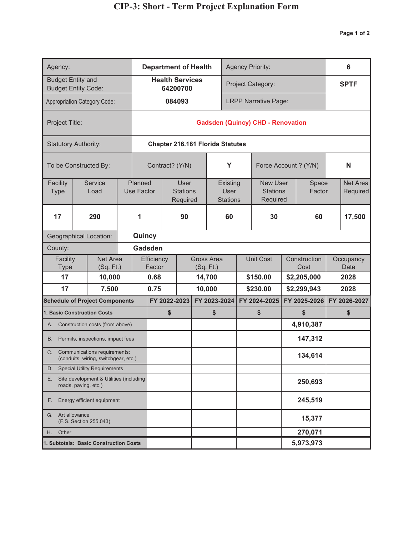| Agency:                                                               |                                         |                                                                      |  |   |                                                              |                                    |    | <b>Department of Health</b> |                                         |                                     | <b>Agency Priority:</b>                        |  |                      | 6                    |
|-----------------------------------------------------------------------|-----------------------------------------|----------------------------------------------------------------------|--|---|--------------------------------------------------------------|------------------------------------|----|-----------------------------|-----------------------------------------|-------------------------------------|------------------------------------------------|--|----------------------|----------------------|
| <b>Budget Entity and</b><br><b>Budget Entity Code:</b>                |                                         |                                                                      |  |   |                                                              | <b>Health Services</b><br>64200700 |    |                             |                                         |                                     | Project Category:                              |  |                      | <b>SPTF</b>          |
| <b>Appropriation Category Code:</b>                                   |                                         |                                                                      |  |   |                                                              | 084093                             |    |                             |                                         |                                     | <b>LRPP Narrative Page:</b>                    |  |                      |                      |
| Project Title:                                                        |                                         |                                                                      |  |   |                                                              |                                    |    |                             |                                         |                                     | <b>Gadsden (Quincy) CHD - Renovation</b>       |  |                      |                      |
| <b>Statutory Authority:</b>                                           |                                         |                                                                      |  |   |                                                              |                                    |    |                             | <b>Chapter 216.181 Florida Statutes</b> |                                     |                                                |  |                      |                      |
| To be Constructed By:                                                 |                                         |                                                                      |  |   |                                                              | Contract? (Y/N)                    |    |                             | Y                                       |                                     | Force Account ? (Y/N)                          |  |                      | N                    |
| Facility<br><b>Type</b>                                               |                                         | Service<br>Load                                                      |  |   | Planned<br>User<br><b>Stations</b><br>Use Factor<br>Required |                                    |    |                             |                                         | Existing<br>User<br><b>Stations</b> | <b>New User</b><br><b>Stations</b><br>Required |  | Space<br>Factor      | Net Area<br>Required |
| 17                                                                    |                                         | 290                                                                  |  | 1 |                                                              |                                    | 90 |                             | 60                                      |                                     | 30                                             |  | 60                   | 17,500               |
| <b>Geographical Location:</b>                                         |                                         | Quincy                                                               |  |   |                                                              |                                    |    |                             |                                         |                                     |                                                |  |                      |                      |
| County:                                                               |                                         |                                                                      |  |   | <b>Gadsden</b>                                               |                                    |    |                             |                                         |                                     |                                                |  |                      |                      |
| Facility<br><b>Type</b>                                               |                                         | Net Area<br>(Sq. Ft.)                                                |  |   | Efficiency<br>Factor                                         |                                    |    | (Sq. Ft.)                   | <b>Gross Area</b>                       |                                     | <b>Unit Cost</b>                               |  | Construction<br>Cost | Occupancy<br>Date    |
| 17                                                                    |                                         | 10,000                                                               |  |   | 0.68                                                         |                                    |    | 14,700                      |                                         | \$150.00                            |                                                |  | \$2,205,000          | 2028                 |
| 17                                                                    |                                         | 7,500                                                                |  |   | 0.75                                                         |                                    |    | 10,000                      |                                         |                                     | \$230.00                                       |  | \$2,299,943          | 2028                 |
| <b>Schedule of Project Components</b>                                 |                                         |                                                                      |  |   |                                                              | FY 2022-2023                       |    |                             | FY 2023-2024                            | FY 2024-2025                        |                                                |  | FY 2025-2026         | FY 2026-2027         |
| 1. Basic Construction Costs                                           |                                         |                                                                      |  |   |                                                              | \$                                 |    | \$                          |                                         | \$                                  |                                                |  | \$                   | \$                   |
| A. .                                                                  |                                         | Construction costs (from above)                                      |  |   |                                                              |                                    |    |                             |                                         |                                     |                                                |  | 4,910,387            |                      |
| B.                                                                    |                                         | Permits, inspections, impact fees                                    |  |   |                                                              |                                    |    |                             |                                         |                                     |                                                |  | 147,312              |                      |
| C.                                                                    |                                         | Communications requirements:<br>(conduits, wiring, switchgear, etc.) |  |   |                                                              |                                    |    |                             |                                         |                                     |                                                |  | 134,614              |                      |
| D.                                                                    |                                         | <b>Special Utility Requirements</b>                                  |  |   |                                                              |                                    |    |                             |                                         |                                     |                                                |  |                      |                      |
| Site development & Utilities (including<br>Е.<br>roads, paving, etc.) |                                         |                                                                      |  |   |                                                              |                                    |    |                             |                                         |                                     |                                                |  | 250,693              |                      |
| F.                                                                    | Energy efficient equipment              |                                                                      |  |   |                                                              |                                    |    |                             |                                         |                                     | 245,519                                        |  |                      |                      |
| G.                                                                    | Art allowance<br>(F.S. Section 255.043) |                                                                      |  |   |                                                              |                                    |    |                             |                                         |                                     |                                                |  | 15,377               |                      |
| Other<br>Η.                                                           |                                         |                                                                      |  |   |                                                              |                                    |    |                             |                                         |                                     |                                                |  | 270,071              |                      |
| 1. Subtotals: Basic Construction Costs                                |                                         |                                                                      |  |   |                                                              |                                    |    |                             |                                         |                                     |                                                |  | 5,973,973            |                      |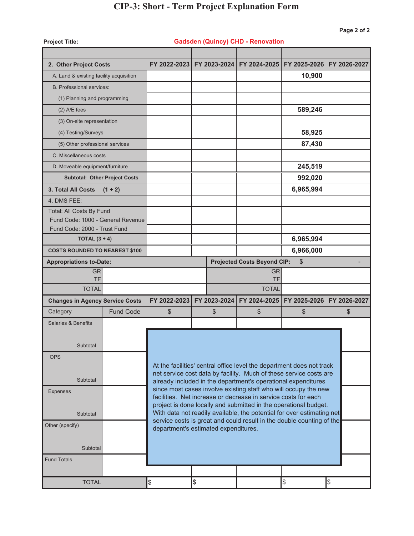| <b>Project Title:</b>                       |                                      |                                                                                                                                    |    |    | <b>Gadsden (Quincy) CHD - Renovation</b>        |                                                                                                                                     |              |  |  |  |
|---------------------------------------------|--------------------------------------|------------------------------------------------------------------------------------------------------------------------------------|----|----|-------------------------------------------------|-------------------------------------------------------------------------------------------------------------------------------------|--------------|--|--|--|
|                                             |                                      |                                                                                                                                    |    |    |                                                 |                                                                                                                                     |              |  |  |  |
| 2. Other Project Costs                      |                                      | FY 2022-2023                                                                                                                       |    |    | FY 2023-2024 FY 2024-2025                       | FY 2025-2026                                                                                                                        | FY 2026-2027 |  |  |  |
| A. Land & existing facility acquisition     |                                      |                                                                                                                                    |    |    |                                                 | 10,900                                                                                                                              |              |  |  |  |
| <b>B. Professional services:</b>            |                                      |                                                                                                                                    |    |    |                                                 |                                                                                                                                     |              |  |  |  |
| (1) Planning and programming                |                                      |                                                                                                                                    |    |    |                                                 |                                                                                                                                     |              |  |  |  |
| $(2)$ A/E fees                              |                                      |                                                                                                                                    |    |    |                                                 | 589,246                                                                                                                             |              |  |  |  |
| (3) On-site representation                  |                                      |                                                                                                                                    |    |    |                                                 |                                                                                                                                     |              |  |  |  |
| (4) Testing/Surveys                         |                                      |                                                                                                                                    |    |    |                                                 | 58,925                                                                                                                              |              |  |  |  |
| (5) Other professional services             |                                      |                                                                                                                                    |    |    |                                                 | 87,430                                                                                                                              |              |  |  |  |
| C. Miscellaneous costs                      |                                      |                                                                                                                                    |    |    |                                                 |                                                                                                                                     |              |  |  |  |
| D. Moveable equipment/furniture             |                                      |                                                                                                                                    |    |    |                                                 | 245,519                                                                                                                             |              |  |  |  |
|                                             | <b>Subtotal: Other Project Costs</b> |                                                                                                                                    |    |    |                                                 | 992,020                                                                                                                             |              |  |  |  |
| <b>3. Total All Costs</b>                   | $(1 + 2)$                            |                                                                                                                                    |    |    |                                                 | 6,965,994                                                                                                                           |              |  |  |  |
| 4. DMS FEE:                                 |                                      |                                                                                                                                    |    |    |                                                 |                                                                                                                                     |              |  |  |  |
| Total: All Costs By Fund                    |                                      |                                                                                                                                    |    |    |                                                 |                                                                                                                                     |              |  |  |  |
| Fund Code: 1000 - General Revenue           |                                      |                                                                                                                                    |    |    |                                                 |                                                                                                                                     |              |  |  |  |
| Fund Code: 2000 - Trust Fund                |                                      |                                                                                                                                    |    |    |                                                 |                                                                                                                                     |              |  |  |  |
| TOTAL $(3 + 4)$                             |                                      |                                                                                                                                    |    |    |                                                 | 6,965,994                                                                                                                           |              |  |  |  |
| <b>COSTS ROUNDED TO NEAREST \$100</b>       |                                      |                                                                                                                                    |    |    |                                                 | 6,966,000                                                                                                                           |              |  |  |  |
| <b>Appropriations to-Date:</b><br><b>GR</b> |                                      |                                                                                                                                    |    |    | <b>Projected Costs Beyond CIP:</b><br><b>GR</b> | \$                                                                                                                                  |              |  |  |  |
| TF                                          |                                      | <b>TF</b>                                                                                                                          |    |    |                                                 |                                                                                                                                     |              |  |  |  |
| <b>TOTAL</b>                                |                                      | <b>TOTAL</b>                                                                                                                       |    |    |                                                 |                                                                                                                                     |              |  |  |  |
| <b>Changes in Agency Service Costs</b>      |                                      | FY 2022-2023                                                                                                                       |    |    |                                                 | FY 2023-2024 FY 2024-2025 FY 2025-2026 FY 2026-2027                                                                                 |              |  |  |  |
| Category                                    | <b>Fund Code</b>                     | \$                                                                                                                                 |    | \$ | \$                                              | \$                                                                                                                                  | \$           |  |  |  |
| <b>Salaries &amp; Benefits</b>              |                                      |                                                                                                                                    |    |    |                                                 |                                                                                                                                     |              |  |  |  |
|                                             |                                      |                                                                                                                                    |    |    |                                                 |                                                                                                                                     |              |  |  |  |
| Subtotal                                    |                                      |                                                                                                                                    |    |    |                                                 |                                                                                                                                     |              |  |  |  |
| <b>OPS</b>                                  |                                      |                                                                                                                                    |    |    |                                                 |                                                                                                                                     |              |  |  |  |
|                                             |                                      |                                                                                                                                    |    |    |                                                 | At the facilities' central office level the department does not track                                                               |              |  |  |  |
| Subtotal                                    |                                      |                                                                                                                                    |    |    |                                                 | net service cost data by facility. Much of these service costs are<br>already included in the department's operational expenditures |              |  |  |  |
| <b>Expenses</b>                             |                                      |                                                                                                                                    |    |    |                                                 | since most cases involve existing staff who will occupy the new                                                                     |              |  |  |  |
|                                             |                                      | facilities. Net increase or decrease in service costs for each<br>project is done locally and submitted in the operational budget. |    |    |                                                 |                                                                                                                                     |              |  |  |  |
| Subtotal                                    |                                      | With data not readily available, the potential for over estimating net                                                             |    |    |                                                 |                                                                                                                                     |              |  |  |  |
| Other (specify)                             |                                      |                                                                                                                                    |    |    |                                                 | service costs is great and could result in the double counting of the                                                               |              |  |  |  |
| department's estimated expenditures.        |                                      |                                                                                                                                    |    |    |                                                 |                                                                                                                                     |              |  |  |  |
| Subtotal                                    |                                      |                                                                                                                                    |    |    |                                                 |                                                                                                                                     |              |  |  |  |
| <b>Fund Totals</b>                          |                                      |                                                                                                                                    |    |    |                                                 |                                                                                                                                     |              |  |  |  |
|                                             |                                      |                                                                                                                                    |    |    |                                                 |                                                                                                                                     |              |  |  |  |
| <b>TOTAL</b>                                |                                      | \$                                                                                                                                 | \$ |    |                                                 | \$                                                                                                                                  | \$           |  |  |  |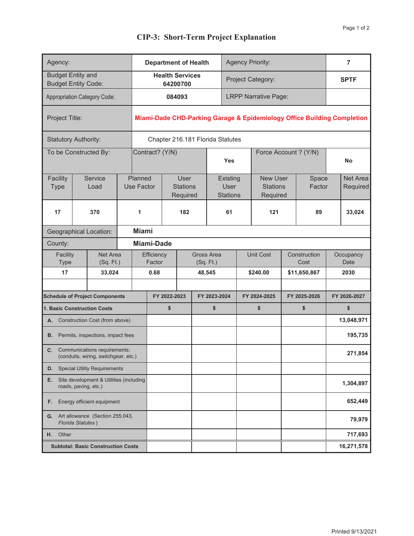| Agency:                                                                 |                                           |                   |                      | <b>Department of Health</b>                                             |        |                                     |                                |                                     | <b>Agency Priority:</b>     |           |                                                |                       |                 | $\overline{7}$ |                      |
|-------------------------------------------------------------------------|-------------------------------------------|-------------------|----------------------|-------------------------------------------------------------------------|--------|-------------------------------------|--------------------------------|-------------------------------------|-----------------------------|-----------|------------------------------------------------|-----------------------|-----------------|----------------|----------------------|
| <b>Budget Entity and</b><br><b>Budget Entity Code:</b>                  |                                           |                   |                      | <b>Health Services</b><br>64200700                                      |        |                                     |                                |                                     | Project Category:           |           |                                                |                       |                 |                | <b>SPTF</b>          |
| <b>Appropriation Category Code:</b>                                     |                                           |                   |                      | 084093                                                                  |        |                                     |                                |                                     | <b>LRPP Narrative Page:</b> |           |                                                |                       |                 |                |                      |
| Project Title:                                                          |                                           |                   |                      | Miami-Dade CHD-Parking Garage & Epidemiology Office Building Completion |        |                                     |                                |                                     |                             |           |                                                |                       |                 |                |                      |
| <b>Statutory Authority:</b>                                             |                                           |                   |                      | Chapter 216.181 Florida Statutes                                        |        |                                     |                                |                                     |                             |           |                                                |                       |                 |                |                      |
| To be Constructed By:                                                   |                                           |                   |                      | Contract? (Y/N)                                                         |        |                                     |                                |                                     | <b>Yes</b>                  |           |                                                | Force Account ? (Y/N) |                 |                | <b>No</b>            |
| Facility<br><b>Type</b>                                                 | Service<br>Load                           |                   |                      | Planned<br>Use Factor                                                   |        | User<br><b>Stations</b><br>Required |                                | Existing<br>User<br><b>Stations</b> |                             |           | <b>New User</b><br><b>Stations</b><br>Required |                       | Space<br>Factor |                | Net Area<br>Required |
| 17                                                                      | 370                                       |                   | 1                    |                                                                         | 182    |                                     |                                |                                     | 61                          |           | 121                                            |                       | 89              |                | 33,024               |
| <b>Geographical Location:</b>                                           |                                           | <b>Miami</b>      |                      |                                                                         |        |                                     |                                |                                     |                             |           |                                                |                       |                 |                |                      |
| County:                                                                 |                                           | <b>Miami-Dade</b> |                      |                                                                         |        |                                     |                                |                                     |                             |           |                                                |                       |                 |                |                      |
| Net Area<br>Facility<br><b>Type</b><br>(Sq. Ft.)                        |                                           |                   | Efficiency<br>Factor |                                                                         |        |                                     | <b>Gross Area</b><br>(Sq. Ft.) |                                     |                             | Unit Cost |                                                | Construction<br>Cost  |                 |                | Occupancy<br>Date    |
| 17<br>33,024                                                            |                                           |                   | 0.68                 |                                                                         | 48,545 |                                     |                                |                                     |                             | \$240.00  |                                                | \$11,650,867          |                 | 2030           |                      |
| <b>Schedule of Project Components</b>                                   |                                           |                   | FY 2022-2023         |                                                                         |        |                                     |                                | FY 2023-2024                        |                             |           | FY 2024-2025                                   |                       | FY 2025-2026    |                | FY 2026-2027         |
| 1. Basic Construction Costs                                             |                                           |                   |                      | \$                                                                      |        |                                     | \$                             |                                     |                             |           | \$                                             |                       | \$              |                | \$                   |
| A. Construction Cost (from above)                                       |                                           |                   |                      |                                                                         |        |                                     |                                |                                     |                             |           |                                                |                       |                 |                | 13,048,971           |
| <b>B.</b> Permits, inspections, impact fees                             |                                           |                   |                      |                                                                         |        |                                     |                                |                                     |                             |           |                                                |                       |                 |                | 195,735              |
| C. Communications requirements:<br>(conduits, wiring, switchgear, etc.) |                                           |                   |                      |                                                                         |        |                                     |                                |                                     |                             |           |                                                |                       |                 |                | 271,854              |
| <b>D.</b> Special Utility Requirements                                  |                                           |                   |                      |                                                                         |        |                                     |                                |                                     |                             |           |                                                |                       |                 |                |                      |
| Site development & Utilities (including<br>Е.<br>roads, paving, etc.)   |                                           |                   |                      |                                                                         |        |                                     |                                |                                     |                             |           |                                                |                       |                 |                | 1,304,897            |
| Energy efficient equipment<br>F.                                        |                                           |                   |                      |                                                                         |        |                                     |                                |                                     |                             |           |                                                |                       |                 |                | 652,449              |
| G. Art allowance (Section 255.043,<br><b>Florida Statutes)</b>          |                                           |                   |                      |                                                                         |        |                                     |                                |                                     |                             |           |                                                |                       |                 |                | 79,979               |
| Other<br>Н.                                                             |                                           |                   |                      |                                                                         |        |                                     |                                |                                     |                             |           |                                                |                       |                 |                | 717,693              |
|                                                                         | <b>Subtotal: Basic Construction Costs</b> |                   |                      |                                                                         |        |                                     |                                |                                     |                             |           |                                                |                       |                 |                | 16,271,578           |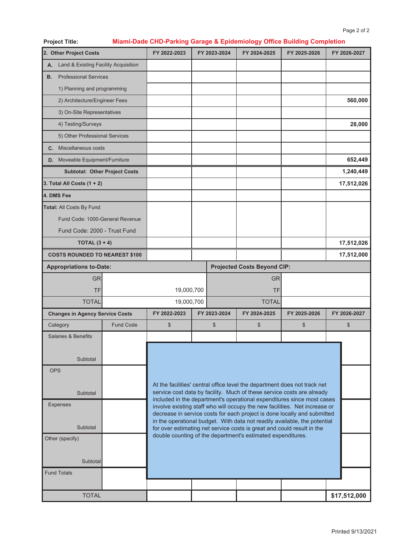#### **Project Title: A.**  Land & Existing Facility Acquisition **B.**  Professional Services **C.**  Miscellaneous costs **D.**  Moveable Equipment/Furniture **4. DMS Fee COSTS ROUNDED TO NEAREST \$100** Appropriations to-Date: **Projected Costs Beyond CIP:** GRIGHT CONTROLLER CONTROLLER CONTROLLER CONTROLLER CONTROLLER CONTROLLER CONTROLLER CONTROLLER CONTROLLER CONT TF TF 19,000,700 **Changes in Agency Service Costs** 3) On-Site Representatives 4) Testing/Surveys 5) Other Professional Services **3. Total All Costs (1 + 2) Total:** All Costs By Fund Fund Code: 1000-General Revenue Fund Code: 2000 - Trust Fund Fund Code **TOTAL (3 + 4) Category**  TOTAL **2. Other Project Costs** 1) Planning and programming 2) Architecture/Engineer Fees **Subtotal: Other Project Costs Miami-Dade CHD-Parking Garage & Epidemiology Office Building Completion 1,240,449 FY 2025-2026 FY 2026-2027** TOTAL 19,000,700 TOTAL TOTAL **Subtotal**  Fund Totals Other (specify) \$ \$ **FY 2022-2023 FY 2023-2024 FY 2024-2025** \$\$\$ **\$17,512,000** Expenses Salaries & Benefits **Subtotal** At the facilities' central office level the department does not track net service cost data by facility. Much of these service costs are already included in the department's operational expenditures since most cases involve existing staff who will occupy the new facilities. Net increase or decrease in service costs for each project is done locally and submitted in the operational budget. With data not readily available, the potential for over estimating net service costs is great and could result in the double counting of the department's estimated expenditures. **Subtotal OPS Subtotal 17,512,026 17,512,000 17,512,026 652,449 28,000 560,000 FY 2022-2023 FY 2023-2024 FY 2024-2025 FY 2025-2026 FY 2026-2027**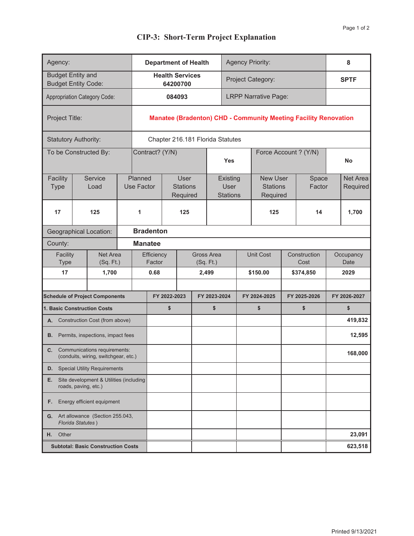| Agency:                                                                        |                                           |                |                      | <b>Department of Health</b>                                            |  |       |                                |    |                                     | <b>Agency Priority:</b> |                                                |                       |                 | 8                 |                      |
|--------------------------------------------------------------------------------|-------------------------------------------|----------------|----------------------|------------------------------------------------------------------------|--|-------|--------------------------------|----|-------------------------------------|-------------------------|------------------------------------------------|-----------------------|-----------------|-------------------|----------------------|
| <b>Budget Entity and</b><br><b>Budget Entity Code:</b>                         |                                           |                |                      | <b>Health Services</b><br>64200700                                     |  |       |                                |    | Project Category:                   |                         |                                                |                       |                 |                   | <b>SPTF</b>          |
| <b>Appropriation Category Code:</b>                                            |                                           |                |                      | 084093                                                                 |  |       |                                |    | <b>LRPP Narrative Page:</b>         |                         |                                                |                       |                 |                   |                      |
| Project Title:                                                                 |                                           |                |                      | <b>Manatee (Bradenton) CHD - Community Meeting Facility Renovation</b> |  |       |                                |    |                                     |                         |                                                |                       |                 |                   |                      |
| <b>Statutory Authority:</b>                                                    |                                           |                |                      | Chapter 216.181 Florida Statutes                                       |  |       |                                |    |                                     |                         |                                                |                       |                 |                   |                      |
| To be Constructed By:                                                          |                                           |                |                      | Contract? (Y/N)                                                        |  |       |                                |    | <b>Yes</b>                          |                         |                                                | Force Account ? (Y/N) |                 | <b>No</b>         |                      |
| Facility<br><b>Type</b>                                                        | Service<br>Load                           |                |                      | Planned<br>User<br><b>Stations</b><br><b>Use Factor</b><br>Required    |  |       |                                |    | Existing<br>User<br><b>Stations</b> |                         | <b>New User</b><br><b>Stations</b><br>Required |                       | Space<br>Factor |                   | Net Area<br>Required |
| 17                                                                             | 125                                       |                | 1                    |                                                                        |  | 125   |                                |    |                                     |                         | 125                                            |                       | 14              |                   | 1,700                |
| <b>Geographical Location:</b>                                                  | <b>Bradenton</b>                          |                |                      |                                                                        |  |       |                                |    |                                     |                         |                                                |                       |                 |                   |                      |
| County:                                                                        |                                           | <b>Manatee</b> |                      |                                                                        |  |       |                                |    |                                     |                         |                                                |                       |                 |                   |                      |
| Net Area<br>Facility<br>(Sq. Ft.)<br><b>Type</b>                               |                                           |                | Efficiency<br>Factor |                                                                        |  |       | <b>Gross Area</b><br>(Sq. Ft.) |    |                                     | <b>Unit Cost</b>        |                                                | Construction<br>Cost  |                 | Occupancy<br>Date |                      |
| 17<br>1,700                                                                    |                                           |                |                      | 0.68                                                                   |  | 2,499 |                                |    |                                     |                         | \$150.00                                       |                       | \$374,850       |                   | 2029                 |
|                                                                                |                                           |                |                      |                                                                        |  |       |                                |    |                                     |                         |                                                |                       |                 |                   |                      |
| <b>Schedule of Project Components</b>                                          |                                           |                |                      | FY 2022-2023                                                           |  |       | FY 2023-2024                   |    |                                     |                         | FY 2024-2025                                   |                       | FY 2025-2026    |                   | FY 2026-2027         |
| 1. Basic Construction Costs<br>A. Construction Cost (from above)               |                                           |                |                      | \$                                                                     |  |       |                                | \$ |                                     |                         | \$                                             |                       | \$              |                   | \$<br>419,832        |
|                                                                                |                                           |                |                      |                                                                        |  |       |                                |    |                                     |                         |                                                |                       |                 |                   |                      |
| Permits, inspections, impact fees<br>В.                                        |                                           |                |                      |                                                                        |  |       |                                |    |                                     |                         |                                                |                       |                 |                   | 12,595               |
| <b>C.</b> Communications requirements:<br>(conduits, wiring, switchgear, etc.) |                                           |                |                      |                                                                        |  |       |                                |    |                                     |                         |                                                |                       |                 |                   | 168,000              |
| <b>Special Utility Requirements</b><br>D.                                      |                                           |                |                      |                                                                        |  |       |                                |    |                                     |                         |                                                |                       |                 |                   |                      |
| Site development & Utilities (including<br>Е.<br>roads, paving, etc.)          |                                           |                |                      |                                                                        |  |       |                                |    |                                     |                         |                                                |                       |                 |                   |                      |
| Energy efficient equipment<br>F.                                               |                                           |                |                      |                                                                        |  |       |                                |    |                                     |                         |                                                |                       |                 |                   |                      |
| G. Art allowance (Section 255.043,<br>Florida Statutes)                        |                                           |                |                      |                                                                        |  |       |                                |    |                                     |                         |                                                |                       |                 |                   |                      |
| Other<br>Η.                                                                    |                                           |                |                      |                                                                        |  |       |                                |    |                                     |                         |                                                |                       |                 |                   | 23,091               |
|                                                                                | <b>Subtotal: Basic Construction Costs</b> |                |                      |                                                                        |  |       |                                |    |                                     |                         |                                                |                       |                 |                   | 623,518              |